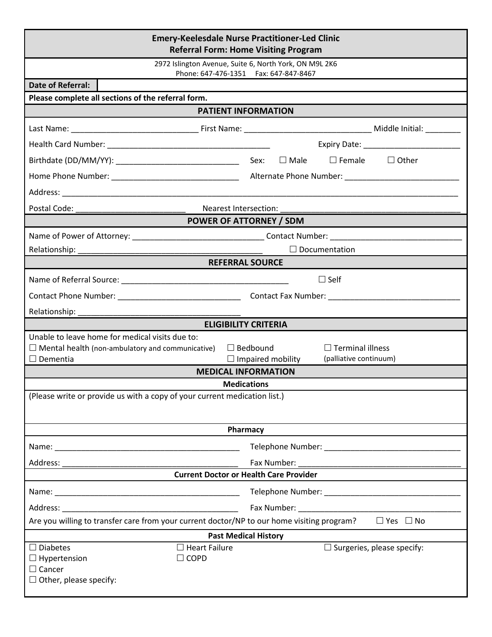| <b>Emery-Keelesdale Nurse Practitioner-Led Clinic</b><br><b>Referral Form: Home Visiting Program</b>                            |                                                                                                  |  |  |  |  |
|---------------------------------------------------------------------------------------------------------------------------------|--------------------------------------------------------------------------------------------------|--|--|--|--|
| 2972 Islington Avenue, Suite 6, North York, ON M9L 2K6<br>Phone: 647-476-1351    Fax: 647-847-8467                              |                                                                                                  |  |  |  |  |
| <b>Date of Referral:</b>                                                                                                        |                                                                                                  |  |  |  |  |
| Please complete all sections of the referral form.                                                                              |                                                                                                  |  |  |  |  |
| <b>PATIENT INFORMATION</b>                                                                                                      |                                                                                                  |  |  |  |  |
|                                                                                                                                 |                                                                                                  |  |  |  |  |
|                                                                                                                                 |                                                                                                  |  |  |  |  |
|                                                                                                                                 |                                                                                                  |  |  |  |  |
|                                                                                                                                 |                                                                                                  |  |  |  |  |
|                                                                                                                                 |                                                                                                  |  |  |  |  |
|                                                                                                                                 |                                                                                                  |  |  |  |  |
| <b>POWER OF ATTORNEY / SDM</b>                                                                                                  |                                                                                                  |  |  |  |  |
|                                                                                                                                 |                                                                                                  |  |  |  |  |
|                                                                                                                                 | $\Box$ Documentation                                                                             |  |  |  |  |
|                                                                                                                                 | <b>REFERRAL SOURCE</b>                                                                           |  |  |  |  |
|                                                                                                                                 | $\square$ Self                                                                                   |  |  |  |  |
|                                                                                                                                 |                                                                                                  |  |  |  |  |
|                                                                                                                                 |                                                                                                  |  |  |  |  |
|                                                                                                                                 | <b>ELIGIBILITY CRITERIA</b>                                                                      |  |  |  |  |
| Unable to leave home for medical visits due to:                                                                                 |                                                                                                  |  |  |  |  |
| $\Box$ Mental health (non-ambulatory and communicative)<br>$\Box$ Dementia                                                      | $\Box$ Bedbound<br>$\Box$ Terminal illness<br>$\Box$ Impaired mobility<br>(palliative continuum) |  |  |  |  |
|                                                                                                                                 | <b>MEDICAL INFORMATION</b>                                                                       |  |  |  |  |
|                                                                                                                                 | <b>Medications</b>                                                                               |  |  |  |  |
| (Please write or provide us with a copy of your current medication list.)                                                       |                                                                                                  |  |  |  |  |
|                                                                                                                                 | Pharmacy                                                                                         |  |  |  |  |
|                                                                                                                                 |                                                                                                  |  |  |  |  |
| Address:                                                                                                                        | Fax Number:                                                                                      |  |  |  |  |
|                                                                                                                                 | <b>Current Doctor or Health Care Provider</b>                                                    |  |  |  |  |
|                                                                                                                                 |                                                                                                  |  |  |  |  |
|                                                                                                                                 |                                                                                                  |  |  |  |  |
| Are you willing to transfer care from your current doctor/NP to our home visiting program?                                      | $\Box$ Yes $\Box$ No                                                                             |  |  |  |  |
| <b>Past Medical History</b>                                                                                                     |                                                                                                  |  |  |  |  |
| $\Box$ Diabetes<br>$\Box$ Heart Failure<br>$\Box$ COPD<br>$\Box$ Hypertension<br>$\Box$ Cancer<br>$\Box$ Other, please specify: | $\Box$ Surgeries, please specify:                                                                |  |  |  |  |